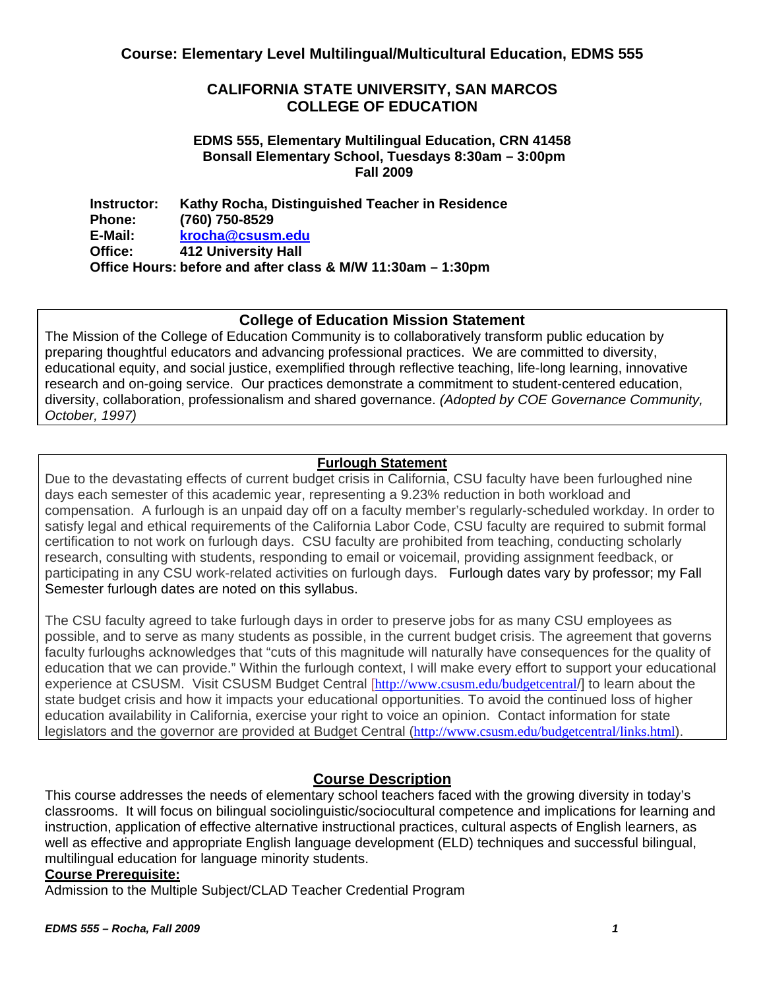# **CALIFORNIA STATE UNIVERSITY, SAN MARCOS COLLEGE OF EDUCATION**

### **EDMS 555, Elementary Multilingual Education, CRN 41458 Bonsall Elementary School, Tuesdays 8:30am – 3:00pm Fall 2009**

**Instructor: Phone: E-Mail: Office: Kathy Rocha, Distinguished Teacher in Residence (760) 750-8529 krocha@csusm.edu 412 University Hall Office Hours: before and after class & M/W 11:30am – 1:30pm** 

# **College of Education Mission Statement**

The Mission of the College of Education Community is to collaboratively transform public education by preparing thoughtful educators and advancing professional practices. We are committed to diversity, educational equity, and social justice, exemplified through reflective teaching, life-long learning, innovative research and on-going service. Our practices demonstrate a commitment to student-centered education, diversity, collaboration, professionalism and shared governance. *(Adopted by COE Governance Community, October, 1997)*

# **Furlough Statement**

Due to the devastating effects of current budget crisis in California, CSU faculty have been furloughed nine days each semester of this academic year, representing a 9.23% reduction in both workload and compensation. A furlough is an unpaid day off on a faculty member's regularly-scheduled workday. In order to satisfy legal and ethical requirements of the California Labor Code, CSU faculty are required to submit formal certification to not work on furlough days. CSU faculty are prohibited from teaching, conducting scholarly research, consulting with students, responding to email or voicemail, providing assignment feedback, or participating in any CSU work-related activities on furlough days. Furlough dates vary by professor; my Fall Semester furlough dates are noted on this syllabus.

The CSU faculty agreed to take furlough days in order to preserve jobs for as many CSU employees as possible, and to serve as many students as possible, in the current budget crisis. The agreement that governs faculty furloughs acknowledges that "cuts of this magnitude will naturally have consequences for the quality of education that we can provide." Within the furlough context, I will make every effort to support your educational experience at CSUSM. Visit CSUSM Budget Central [http://www.csusm.edu/budgetcentral/] to learn about the state budget crisis and how it impacts your educational opportunities. To avoid the continued loss of higher education availability in California, exercise your right to voice an opinion. Contact information for state legislators and the governor are provided at Budget Central (http://www.csusm.edu/budgetcentral/links.html).

# **Course Description**

 instruction, application of effective alternative instructional practices, cultural aspects of English learners, as This course addresses the needs of elementary school teachers faced with the growing diversity in today's classrooms. It will focus on bilingual sociolinguistic/sociocultural competence and implications for learning and well as effective and appropriate English language development (ELD) techniques and successful bilingual, multilingual education for language minority students.

# **Course Prerequisite:**

Admission to the Multiple Subject/CLAD Teacher Credential Program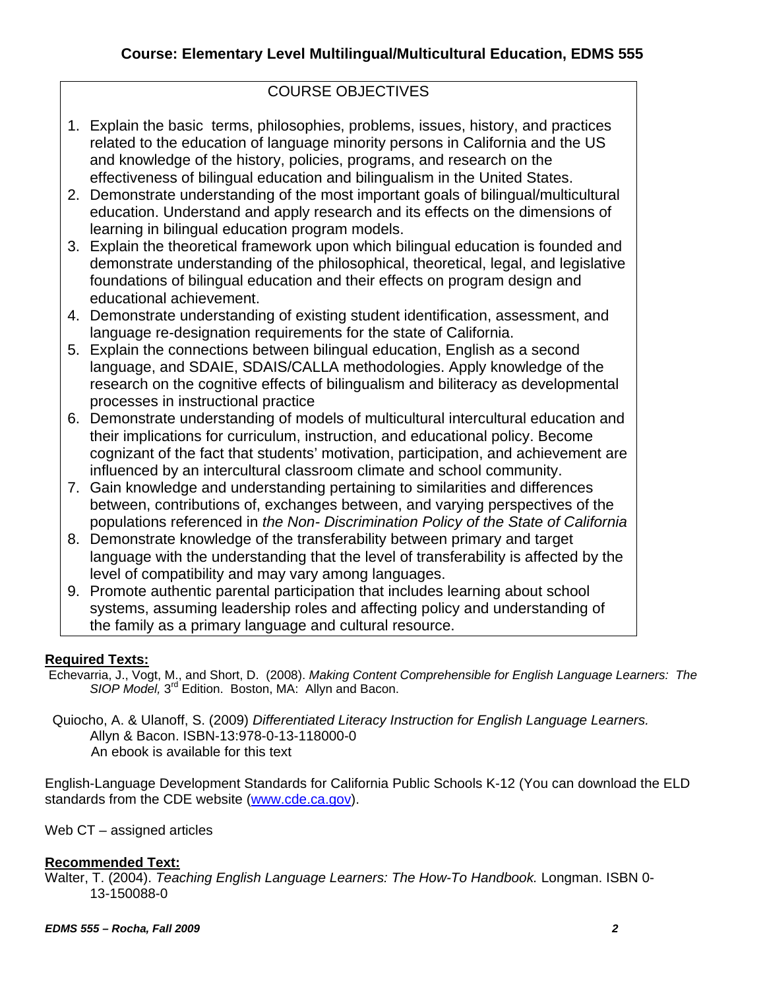# COURSE OBJECTIVES

- 1. Explain the basic terms, philosophies, problems, issues, history, and practices related to the education of language minority persons in California and the US and knowledge of the history, policies, programs, and research on the effectiveness of bilingual education and bilingualism in the United States.
- 2. Demonstrate understanding of the most important goals of bilingual/multicultural education. Understand and apply research and its effects on the dimensions of learning in bilingual education program models.
- 3. Explain the theoretical framework upon which bilingual education is founded and demonstrate understanding of the philosophical, theoretical, legal, and legislative foundations of bilingual education and their effects on program design and educational achievement.
- 4. Demonstrate understanding of existing student identification, assessment, and language re-designation requirements for the state of California.
- 5. Explain the connections between bilingual education, English as a second language, and SDAIE, SDAIS/CALLA methodologies. Apply knowledge of the research on the cognitive effects of bilingualism and biliteracy as developmental processes in instructional practice
- 6. Demonstrate understanding of models of multicultural intercultural education and their implications for curriculum, instruction, and educational policy. Become cognizant of the fact that students' motivation, participation, and achievement are influenced by an intercultural classroom climate and school community.
- 7. Gain knowledge and understanding pertaining to similarities and differences between, contributions of, exchanges between, and varying perspectives of the populations referenced in *the Non- Discrimination Policy of the State of California*
- 8. Demonstrate knowledge of the transferability between primary and target language with the understanding that the level of transferability is affected by the level of compatibility and may vary among languages.
- 9. Promote authentic parental participation that includes learning about school systems, assuming leadership roles and affecting policy and understanding of the family as a primary language and cultural resource.

# **Required Texts:**

- Echevarria, J., Vogt, M., and Short, D. (2008). *Making Content Comprehensible for English Language Learners: The SIOP Model,* 3rd Edition. Boston, MA: Allyn and Bacon.
- Quiocho, A. & Ulanoff, S. (2009) *Differentiated Literacy Instruction for English Language Learners.* Allyn & Bacon. ISBN-13:978-0-13-118000-0 An ebook is available for this text

English-Language Development Standards for California Public Schools K-12 (You can download the ELD standards from the CDE website (www.cde.ca.gov).

Web CT – assigned articles

# **Recommended Text:**

Walter, T. (2004). *Teaching English Language Learners: The How-To Handbook.* Longman. ISBN 0- 13-150088-0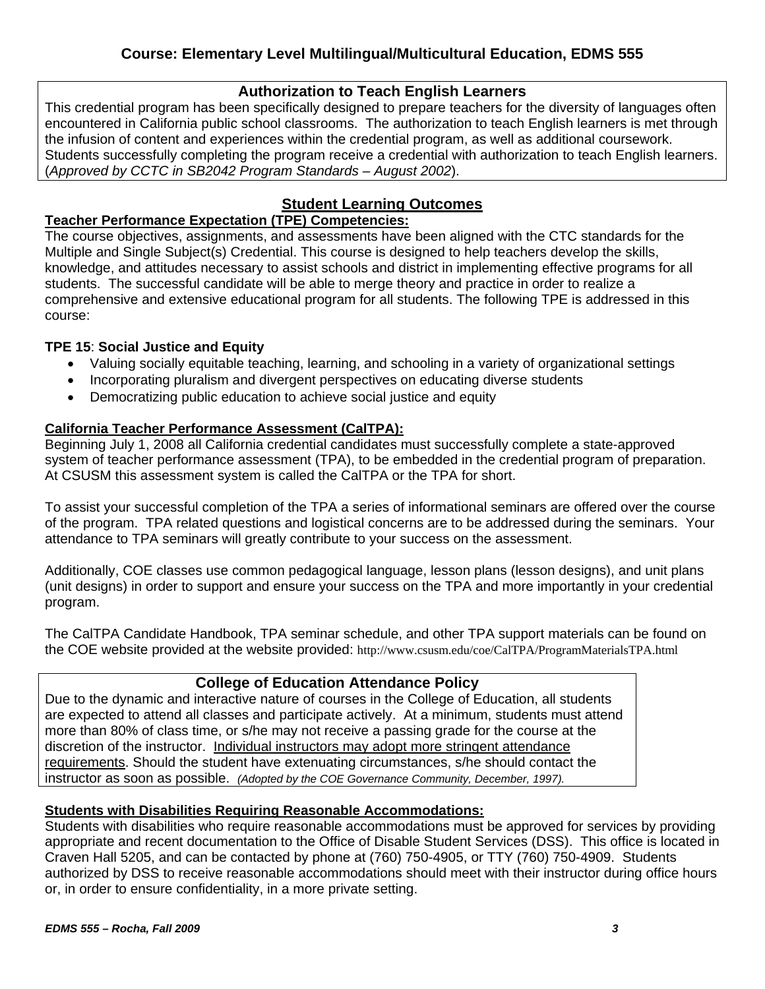# **Authorization to Teach English Learners**

This credential program has been specifically designed to prepare teachers for the diversity of languages often encountered in California public school classrooms. The authorization to teach English learners is met through the infusion of content and experiences within the credential program, as well as additional coursework. Students successfully completing the program receive a credential with authorization to teach English learners. (*Approved by CCTC in SB2042 Program Standards – August 2002*).

# **Student Learning Outcomes**

# **Teacher Performance Expectation (TPE) Competencies:**

The course objectives, assignments, and assessments have been aligned with the CTC standards for the Multiple and Single Subject(s) Credential. This course is designed to help teachers develop the skills, knowledge, and attitudes necessary to assist schools and district in implementing effective programs for all students. The successful candidate will be able to merge theory and practice in order to realize a comprehensive and extensive educational program for all students. The following TPE is addressed in this course:

# **TPE 15**: **Social Justice and Equity**

- Valuing socially equitable teaching, learning, and schooling in a variety of organizational settings
- Incorporating pluralism and divergent perspectives on educating diverse students
- Democratizing public education to achieve social justice and equity

# **California Teacher Performance Assessment (CalTPA):**

system of teacher performance assessment (TPA), to be embedded in the credential program of preparation.<br>At CSUSM this assessment system is called the CalTPA or the TPA for short. Beginning July 1, 2008 all California credential candidates must successfully complete a state-approved

To assist your successful completion of the TPA a series of informational seminars are offered over the course of the program. TPA related questions and logistical concerns are to be addressed during the seminars. Your attendance to TPA seminars will greatly contribute to your success on the assessment.

Additionally, COE classes use common pedagogical language, lesson plans (lesson designs), and unit plans (unit designs) in order to support and ensure your success on the TPA and more importantly in your credential program.

The CalTPA Candidate Handbook, TPA seminar schedule, and other TPA support materials can be found on the COE website provided at the website provided: http://www.csusm.edu/coe/CalTPA/ProgramMaterialsTPA.html

# **College of Education Attendance Policy**

Due to the dynamic and interactive nature of courses in the College of Education, all students are expected to attend all classes and participate actively. At a minimum, students must attend more than 80% of class time, or s/he may not receive a passing grade for the course at the discretion of the instructor. Individual instructors may adopt more stringent attendance requirements. Should the student have extenuating circumstances, s/he should contact the instructor as soon as possible. *(Adopted by the COE Governance Community, December, 1997).* 

# **Students with Disabilities Requiring Reasonable Accommodations:**

Students with disabilities who require reasonable accommodations must be approved for services by providing appropriate and recent documentation to the Office of Disable Student Services (DSS). This office is located in Craven Hall 5205, and can be contacted by phone at (760) 750-4905, or TTY (760) 750-4909. Students authorized by DSS to receive reasonable accommodations should meet with their instructor during office hours or, in order to ensure confidentiality, in a more private setting.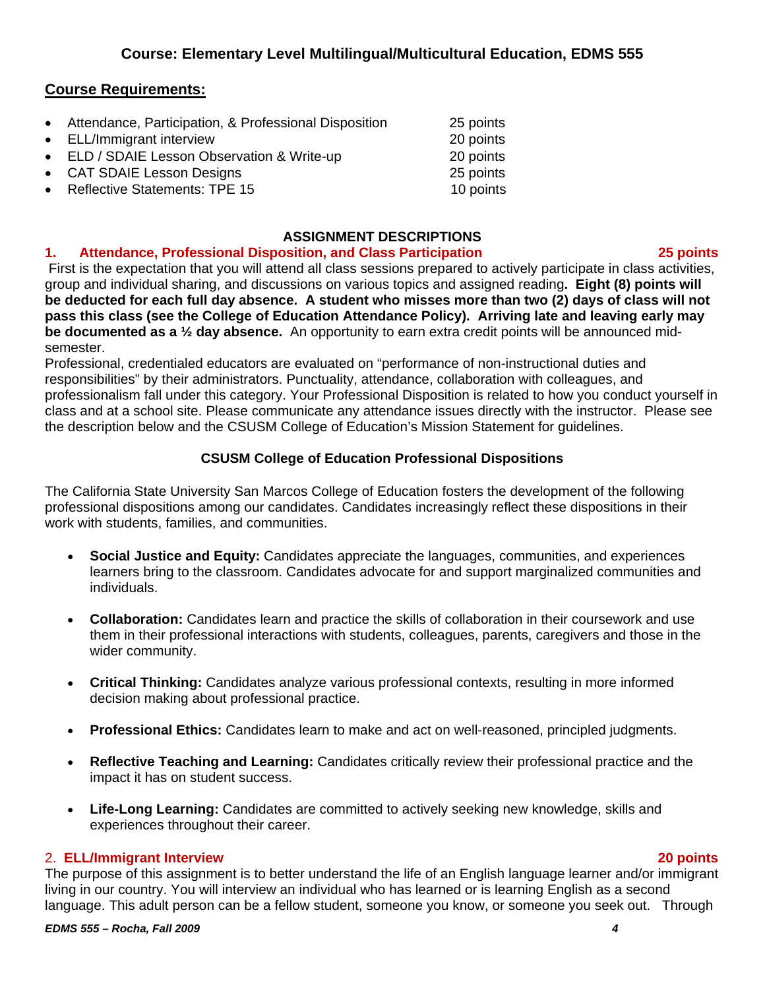# **Course Requirements:**

| • Attendance, Participation, & Professional Disposition | 25 points |
|---------------------------------------------------------|-----------|
| • ELL/Immigrant interview                               | 20 points |
| • ELD / SDAIE Lesson Observation & Write-up             | 20 points |
| • CAT SDAIE Lesson Designs                              | 25 points |
| • Reflective Statements: TPE 15                         | 10 points |

# **ASSIGNMENT DESCRIPTIONS**

#### $\mathbf{1}$ . **1. Attendance, Professional Disposition, and Class Participation 25 points**

 First is the expectation that you will attend all class sessions prepared to actively participate in class activities, group and individual sharing, and discussions on various topics and assigned reading**. Eight (8) points will be deducted for each full day absence. A student who misses more than two (2) days of class will not pass this class (see the College of Education Attendance Policy). Arriving late and leaving early may be documented as a ½ day absence.** An opportunity to earn extra credit points will be announced midsemester.

 the description below and the CSUSM College of Education's Mission Statement for guidelines. Professional, credentialed educators are evaluated on "performance of non-instructional duties and responsibilities" by their administrators. Punctuality, attendance, collaboration with colleagues, and professionalism fall under this category. Your Professional Disposition is related to how you conduct yourself in class and at a school site. Please communicate any attendance issues directly with the instructor. Please see

# **CSUSM College of Education Professional Dispositions**

The California State University San Marcos College of Education fosters the development of the following professional dispositions among our candidates. Candidates increasingly reflect these dispositions in their work with students, families, and communities.

- **Social Justice and Equity:** Candidates appreciate the languages, communities, and experiences learners bring to the classroom. Candidates advocate for and support marginalized communities and individuals.
- **Collaboration:** Candidates learn and practice the skills of collaboration in their coursework and use them in their professional interactions with students, colleagues, parents, caregivers and those in the wider community.
- • **Critical Thinking:** Candidates analyze various professional contexts, resulting in more informed decision making about professional practice.
- **Professional Ethics:** Candidates learn to make and act on well-reasoned, principled judgments.
- **Reflective Teaching and Learning:** Candidates critically review their professional practice and the impact it has on student success.
- experiences throughout their career. Life-Long Learning: Candidates are committed to actively seeking new knowledge, skills and

# 2. **ELL/Immigrant Interview 20 points**

The purpose of this assignment is to better understand the life of an English language learner and/or immigrant living in our country. You will interview an individual who has learned or is learning English as a second language. This adult person can be a fellow student, someone you know, or someone you seek out. Through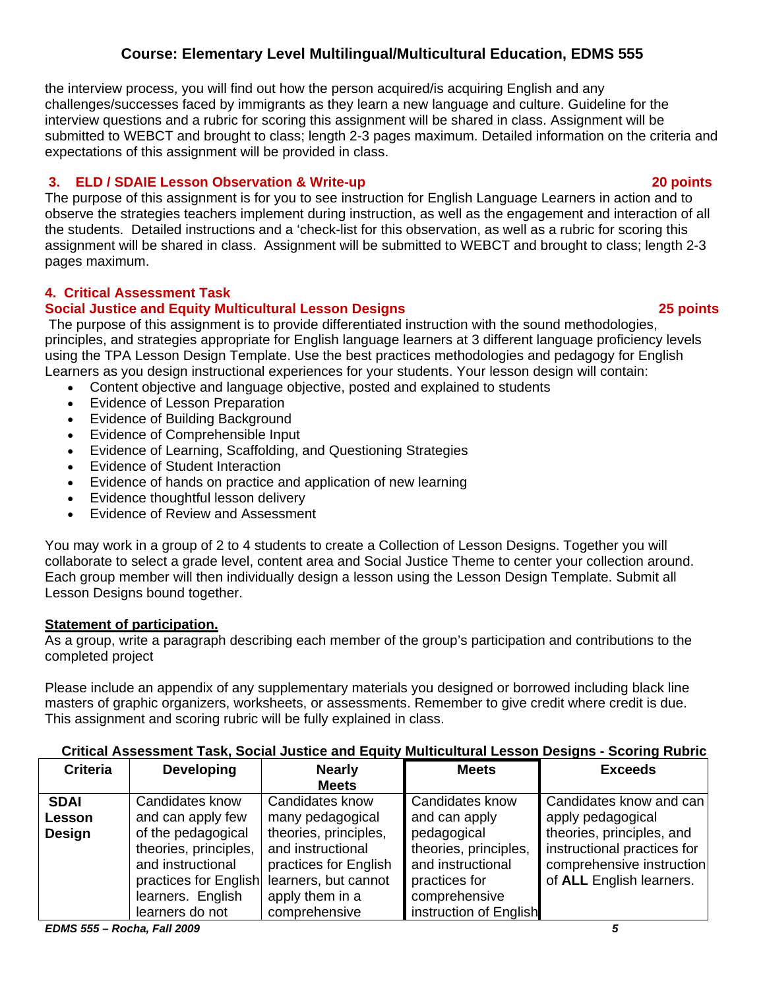the interview process, you will find out how the person acquired/is acquiring English and any challenges/successes faced by immigrants as they learn a new language and culture. Guideline for the interview questions and a rubric for scoring this assignment will be shared in class. Assignment will be submitted to WEBCT and brought to class; length 2-3 pages maximum. Detailed information on the criteria and expectations of this assignment will be provided in class.

#### $3.$ **3. ELD / SDAIE Lesson Observation & Write-up 20 points**

The purpose of this assignment is for you to see instruction for English Language Learners in action and to observe the strategies teachers implement during instruction, as well as the engagement and interaction of all the students. Detailed instructions and a 'check-list for this observation, as well as a rubric for scoring this assignment will be shared in class. Assignment will be submitted to WEBCT and brought to class; length 2-3 pages maximum.

# **4. Critical Assessment Task**

# **Social Justice and Equity Multicultural Lesson Designs <b>25 points** 25 points

 The purpose of this assignment is to provide differentiated instruction with the sound methodologies, principles, and strategies appropriate for English language learners at 3 different language proficiency levels using the TPA Lesson Design Template. Use the best practices methodologies and pedagogy for English Learners as you design instructional experiences for your students. Your lesson design will contain:

- Content objective and language objective, posted and explained to students
- Evidence of Lesson Preparation
- Evidence of Building Background
- Evidence of Comprehensible Input
- Evidence of Learning, Scaffolding, and Questioning Strategies
- Evidence of Student Interaction
- Evidence of hands on practice and application of new learning
- Evidence thoughtful lesson delivery
- Evidence of Review and Assessment

You may work in a group of 2 to 4 students to create a Collection of Lesson Designs. Together you will collaborate to select a grade level, content area and Social Justice Theme to center your collection around. Each group member will then individually design a lesson using the Lesson Design Template. Submit all Lesson Designs bound together.

# **Statement of participation.**

As a group, write a paragraph describing each member of the group's participation and contributions to the completed project

 This assignment and scoring rubric will be fully explained in class. Please include an appendix of any supplementary materials you designed or borrowed including black line masters of graphic organizers, worksheets, or assessments. Remember to give credit where credit is due.

| <b>Criteria</b> | <b>Developing</b>     | <b>Nearly</b>         | <b>Meets</b>           | <b>Exceeds</b>              |
|-----------------|-----------------------|-----------------------|------------------------|-----------------------------|
|                 |                       | <b>Meets</b>          |                        |                             |
| <b>SDAI</b>     | Candidates know       | Candidates know       | Candidates know        | Candidates know and can     |
| Lesson          | and can apply few     | many pedagogical      | and can apply          | apply pedagogical           |
| <b>Design</b>   | of the pedagogical    | theories, principles, | pedagogical            | theories, principles, and   |
|                 | theories, principles, | and instructional     | theories, principles,  | instructional practices for |
|                 | and instructional     | practices for English | and instructional      | comprehensive instruction   |
|                 | practices for English | learners, but cannot  | practices for          | of ALL English learners.    |
|                 | learners. English     | apply them in a       | comprehensive          |                             |
|                 | learners do not       | comprehensive         | instruction of English |                             |

# **Critical Assessment Task, Social Justice and Equity Multicultural Lesson Designs - Scoring Rubric**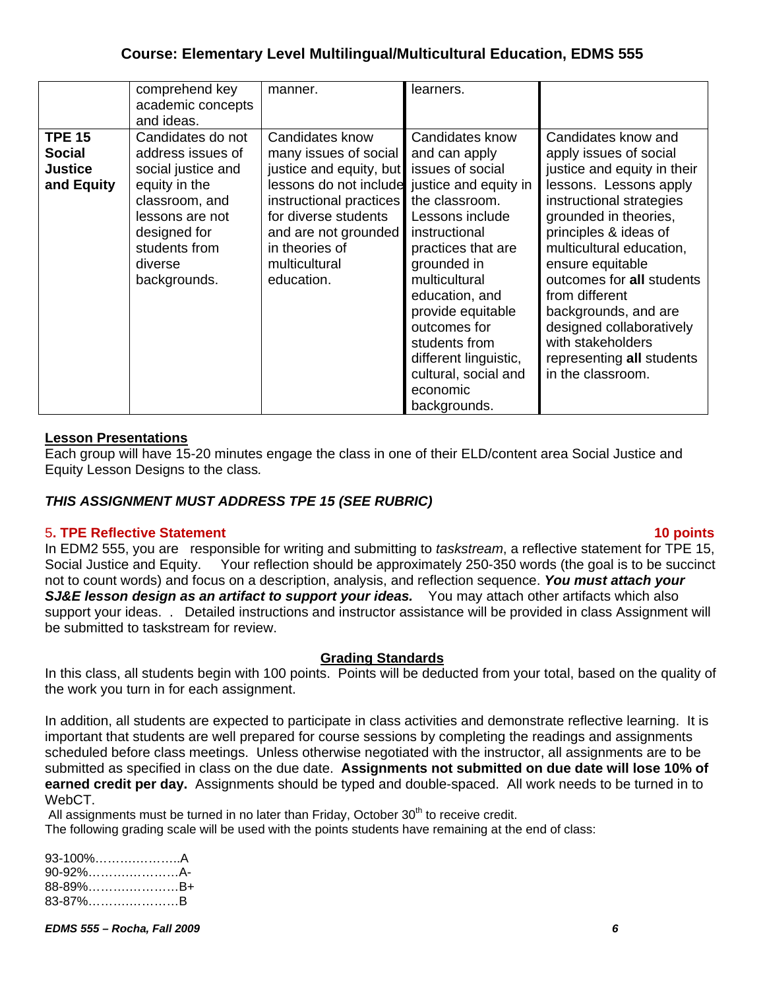|                                                                | comprehend key<br>academic concepts<br>and ideas.                                                                                                                              | manner.                                                                                                                                                                                                                   | learners.                                                                                                                                                                                                                                                                                                                                      |                                                                                                                                                                                                                                                                                                                                                                                                                |
|----------------------------------------------------------------|--------------------------------------------------------------------------------------------------------------------------------------------------------------------------------|---------------------------------------------------------------------------------------------------------------------------------------------------------------------------------------------------------------------------|------------------------------------------------------------------------------------------------------------------------------------------------------------------------------------------------------------------------------------------------------------------------------------------------------------------------------------------------|----------------------------------------------------------------------------------------------------------------------------------------------------------------------------------------------------------------------------------------------------------------------------------------------------------------------------------------------------------------------------------------------------------------|
| <b>TPE 15</b><br><b>Social</b><br><b>Justice</b><br>and Equity | Candidates do not<br>address issues of<br>social justice and<br>equity in the<br>classroom, and<br>lessons are not<br>designed for<br>students from<br>diverse<br>backgrounds. | Candidates know<br>many issues of social<br>justice and equity, but<br>lessons do not include<br>instructional practices<br>for diverse students<br>and are not grounded<br>in theories of<br>multicultural<br>education. | Candidates know<br>and can apply<br>issues of social<br>justice and equity in<br>the classroom.<br>Lessons include<br>instructional<br>practices that are<br>grounded in<br>multicultural<br>education, and<br>provide equitable<br>outcomes for<br>students from<br>different linguistic,<br>cultural, social and<br>economic<br>backgrounds. | Candidates know and<br>apply issues of social<br>justice and equity in their<br>lessons. Lessons apply<br>instructional strategies<br>grounded in theories,<br>principles & ideas of<br>multicultural education,<br>ensure equitable<br>outcomes for all students<br>from different<br>backgrounds, and are<br>designed collaboratively<br>with stakeholders<br>representing all students<br>in the classroom. |

#### **Lesson Presentations**

Each group will have 15-20 minutes engage the class in one of their ELD/content area Social Justice and Equity Lesson Designs to the class*.* 

# *THIS ASSIGNMENT MUST ADDRESS TPE 15 (SEE RUBRIC)*

#### 5**. TPE Reflective Statement 10 points**

 Social Justice and Equity. Your reflection should be approximately 250-350 words (the goal is to be succinct In EDM2 555, you are responsible for writing and submitting to *taskstream*, a reflective statement for TPE 15, not to count words) and focus on a description, analysis, and reflection sequence. *You must attach your*  **SJ&E lesson design as an artifact to support your ideas.** You may attach other artifacts which also support your ideas. . Detailed instructions and instructor assistance will be provided in class Assignment will be submitted to taskstream for review.

#### **Grading Standards**

In this class, all students begin with 100 points. Points will be deducted from your total, based on the quality of the work you turn in for each assignment.

 submitted as specified in class on the due date. **Assignments not submitted on due date will lose 10% of**  In addition, all students are expected to participate in class activities and demonstrate reflective learning. It is important that students are well prepared for course sessions by completing the readings and assignments scheduled before class meetings. Unless otherwise negotiated with the instructor, all assignments are to be **earned credit per day.** Assignments should be typed and double-spaced. All work needs to be turned in to WebCT.

All assignments must be turned in no later than Friday, October  $30<sup>th</sup>$  to receive credit.

The following grading scale will be used with the points students have remaining at the end of class:

| 93-100%A |
|----------|
| 90-92%A- |
| 88-89%B+ |
| 83-87%B  |
|          |

*EDMS 555 – Rocha, Fall 2009 6*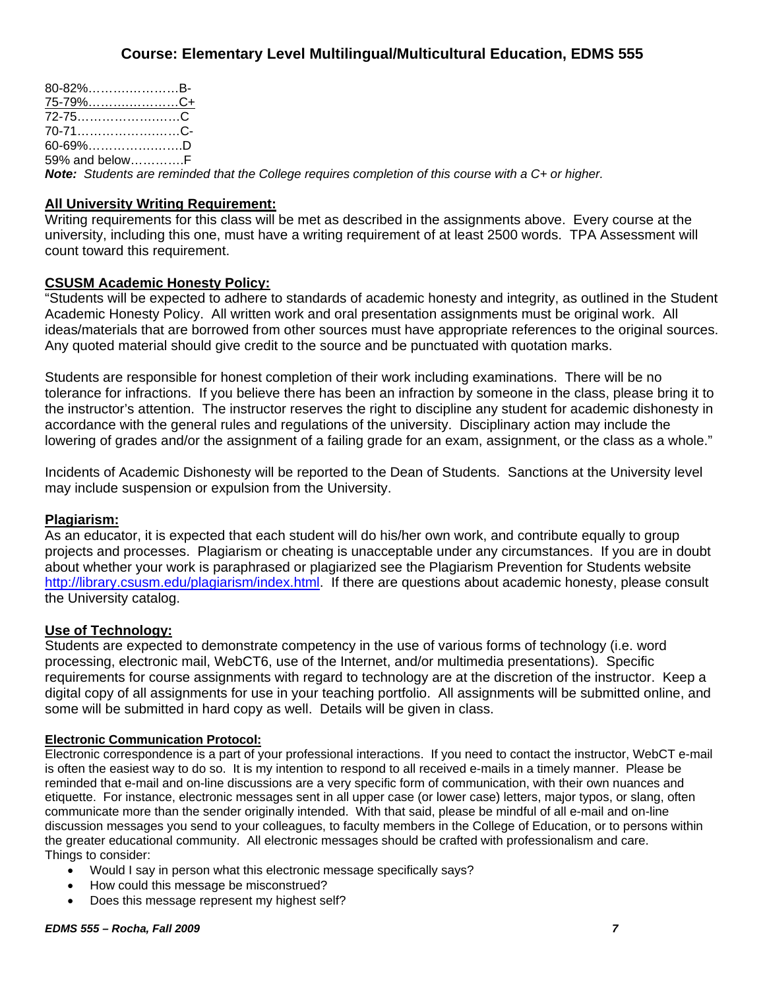| 80-82%B-         |  |                                                                                                             |  |
|------------------|--|-------------------------------------------------------------------------------------------------------------|--|
| 75-79%……………………C+ |  |                                                                                                             |  |
|                  |  |                                                                                                             |  |
| 70-71C-          |  |                                                                                                             |  |
| 60-69%D          |  |                                                                                                             |  |
| 59% and belowF   |  |                                                                                                             |  |
|                  |  | <b>Note:</b> Students are reminded that the College requires completion of this course with a C+ or higher. |  |

### **All University Writing Requirement:**

Writing requirements for this class will be met as described in the assignments above. Every course at the university, including this one, must have a writing requirement of at least 2500 words. TPA Assessment will count toward this requirement.

### **CSUSM Academic Honesty Policy:**

"Students will be expected to adhere to standards of academic honesty and integrity, as outlined in the Student Academic Honesty Policy. All written work and oral presentation assignments must be original work. All ideas/materials that are borrowed from other sources must have appropriate references to the original sources. Any quoted material should give credit to the source and be punctuated with quotation marks.

Students are responsible for honest completion of their work including examinations. There will be no tolerance for infractions. If you believe there has been an infraction by someone in the class, please bring it to the instructor's attention. The instructor reserves the right to discipline any student for academic dishonesty in accordance with the general rules and regulations of the university. Disciplinary action may include the lowering of grades and/or the assignment of a failing grade for an exam, assignment, or the class as a whole."

Incidents of Academic Dishonesty will be reported to the Dean of Students. Sanctions at the University level may include suspension or expulsion from the University.

#### **Plagiarism:**

As an educator, it is expected that each student will do his/her own work, and contribute equally to group projects and processes. Plagiarism or cheating is unacceptable under any circumstances. If you are in doubt about whether your work is paraphrased or plagiarized see the Plagiarism Prevention for Students website http://library.csusm.edu/plagiarism/index.html. If there are questions about academic honesty, please consult the University catalog.

#### **Use of Technology:**

Students are expected to demonstrate competency in the use of various forms of technology (i.e. word processing, electronic mail, WebCT6, use of the Internet, and/or multimedia presentations). Specific requirements for course assignments with regard to technology are at the discretion of the instructor. Keep a digital copy of all assignments for use in your teaching portfolio. All assignments will be submitted online, and some will be submitted in hard copy as well. Details will be given in class.

#### **Electronic Communication Protocol:**

Electronic correspondence is a part of your professional interactions. If you need to contact the instructor, WebCT e-mail is often the easiest way to do so. It is my intention to respond to all received e-mails in a timely manner. Please be reminded that e-mail and on-line discussions are a very specific form of communication, with their own nuances and etiquette. For instance, electronic messages sent in all upper case (or lower case) letters, major typos, or slang, often communicate more than the sender originally intended. With that said, please be mindful of all e-mail and on-line discussion messages you send to your colleagues, to faculty members in the College of Education, or to persons within the greater educational community. All electronic messages should be crafted with professionalism and care. Things to consider:

- Would I say in person what this electronic message specifically says?
- How could this message be misconstrued?
- Does this message represent my highest self?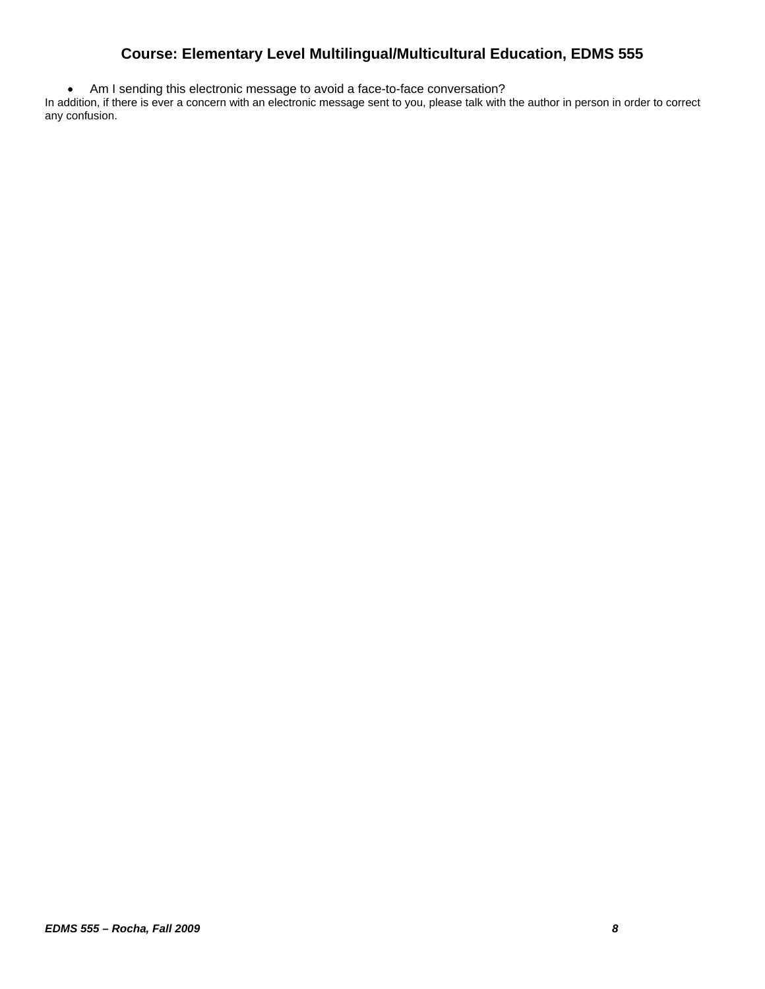• Am I sending this electronic message to avoid a face-to-face conversation?

In addition, if there is ever a concern with an electronic message sent to you, please talk with the author in person in order to correct any confusion.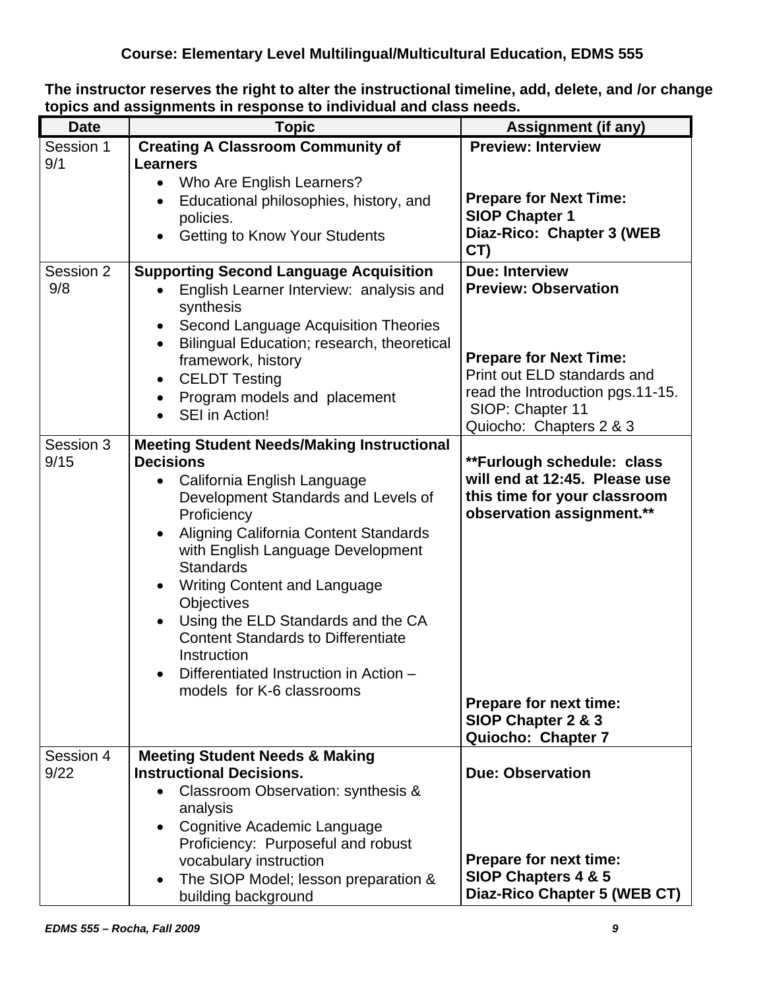| topics and assignments in response to murvidual and class needs. |                                                                                                                                                                                                                                                                                                                                                                                                                                                                                                                |                                                                                                                                                                                                         |  |  |
|------------------------------------------------------------------|----------------------------------------------------------------------------------------------------------------------------------------------------------------------------------------------------------------------------------------------------------------------------------------------------------------------------------------------------------------------------------------------------------------------------------------------------------------------------------------------------------------|---------------------------------------------------------------------------------------------------------------------------------------------------------------------------------------------------------|--|--|
| <b>Date</b>                                                      | <b>Topic</b>                                                                                                                                                                                                                                                                                                                                                                                                                                                                                                   | <b>Assignment (if any)</b>                                                                                                                                                                              |  |  |
| Session 1<br>9/1                                                 | <b>Creating A Classroom Community of</b><br><b>Learners</b><br>Who Are English Learners?<br>$\bullet$<br>Educational philosophies, history, and<br>policies.<br>Getting to Know Your Students                                                                                                                                                                                                                                                                                                                  | <b>Preview: Interview</b><br><b>Prepare for Next Time:</b><br><b>SIOP Chapter 1</b><br>Diaz-Rico: Chapter 3 (WEB<br>CT)                                                                                 |  |  |
| Session 2<br>9/8                                                 | <b>Supporting Second Language Acquisition</b><br>English Learner Interview: analysis and<br>synthesis<br>Second Language Acquisition Theories<br>Bilingual Education; research, theoretical<br>framework, history<br><b>CELDT Testing</b><br>Program models and placement<br>SEI in Action!                                                                                                                                                                                                                    | <b>Due: Interview</b><br><b>Preview: Observation</b><br><b>Prepare for Next Time:</b><br>Print out ELD standards and<br>read the Introduction pgs.11-15.<br>SIOP: Chapter 11<br>Quiocho: Chapters 2 & 3 |  |  |
| Session 3<br>9/15                                                | <b>Meeting Student Needs/Making Instructional</b><br><b>Decisions</b><br>California English Language<br>$\bullet$<br>Development Standards and Levels of<br>Proficiency<br>Aligning California Content Standards<br>with English Language Development<br><b>Standards</b><br><b>Writing Content and Language</b><br><b>Objectives</b><br>Using the ELD Standards and the CA<br><b>Content Standards to Differentiate</b><br>Instruction<br>Differentiated Instruction in Action -<br>models for K-6 classrooms | **Furlough schedule: class<br>will end at 12:45. Please use<br>this time for your classroom<br>observation assignment.**<br>Prepare for next time:<br>SIOP Chapter 2 & 3<br>Quiocho: Chapter 7          |  |  |
| Session 4<br>9/22                                                | <b>Meeting Student Needs &amp; Making</b><br><b>Instructional Decisions.</b><br>Classroom Observation: synthesis &<br>analysis<br>Cognitive Academic Language<br>Proficiency: Purposeful and robust<br>vocabulary instruction<br>The SIOP Model; lesson preparation &<br>building background                                                                                                                                                                                                                   | <b>Due: Observation</b><br><b>Prepare for next time:</b><br>SIOP Chapters 4 & 5<br>Diaz-Rico Chapter 5 (WEB CT)                                                                                         |  |  |

**The instructor reserves the right to alter the instructional timeline, add, delete, and /or change topics and assignments in response to individual and class needs.**